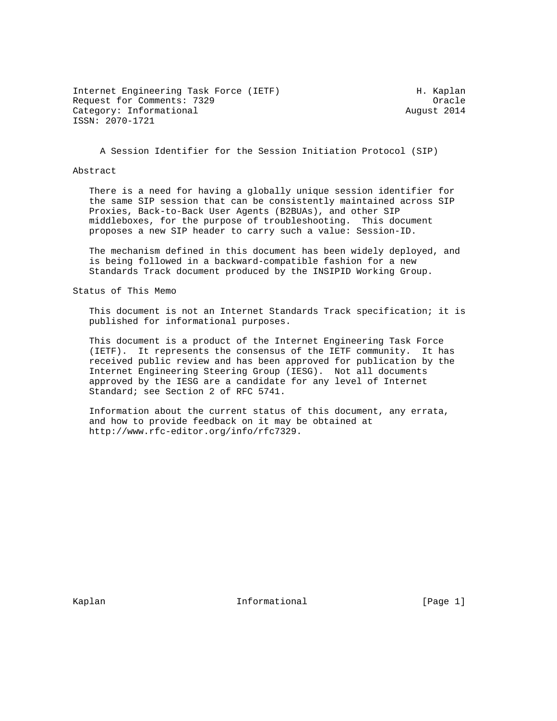Internet Engineering Task Force (IETF) The Control of H. Kaplan Request for Comments: 7329 Cracle Category: Informational and August 2014 ISSN: 2070-1721

A Session Identifier for the Session Initiation Protocol (SIP)

#### Abstract

 There is a need for having a globally unique session identifier for the same SIP session that can be consistently maintained across SIP Proxies, Back-to-Back User Agents (B2BUAs), and other SIP middleboxes, for the purpose of troubleshooting. This document proposes a new SIP header to carry such a value: Session-ID.

 The mechanism defined in this document has been widely deployed, and is being followed in a backward-compatible fashion for a new Standards Track document produced by the INSIPID Working Group.

Status of This Memo

 This document is not an Internet Standards Track specification; it is published for informational purposes.

 This document is a product of the Internet Engineering Task Force (IETF). It represents the consensus of the IETF community. It has received public review and has been approved for publication by the Internet Engineering Steering Group (IESG). Not all documents approved by the IESG are a candidate for any level of Internet Standard; see Section 2 of RFC 5741.

 Information about the current status of this document, any errata, and how to provide feedback on it may be obtained at http://www.rfc-editor.org/info/rfc7329.

Kaplan **Informational** Informational (Page 1)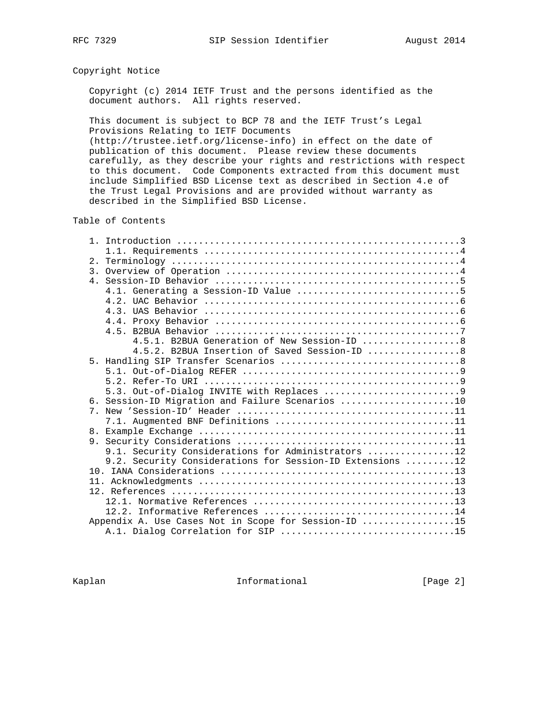# Copyright Notice

 Copyright (c) 2014 IETF Trust and the persons identified as the document authors. All rights reserved.

 This document is subject to BCP 78 and the IETF Trust's Legal Provisions Relating to IETF Documents

 (http://trustee.ietf.org/license-info) in effect on the date of publication of this document. Please review these documents carefully, as they describe your rights and restrictions with respect to this document. Code Components extracted from this document must include Simplified BSD License text as described in Section 4.e of the Trust Legal Provisions and are provided without warranty as described in the Simplified BSD License.

Table of Contents

|             | 4.5.1. B2BUA Generation of New Session-ID  8              |  |
|-------------|-----------------------------------------------------------|--|
|             | 4.5.2. B2BUA Insertion of Saved Session-ID  8             |  |
|             |                                                           |  |
|             |                                                           |  |
|             |                                                           |  |
|             |                                                           |  |
|             | 6. Session-ID Migration and Failure Scenarios 10          |  |
| $7^{\circ}$ |                                                           |  |
|             | 7.1. Augmented BNF Definitions 11                         |  |
|             |                                                           |  |
|             |                                                           |  |
|             | 9.1. Security Considerations for Administrators 12        |  |
|             | 9.2. Security Considerations for Session-ID Extensions 12 |  |
|             |                                                           |  |
|             |                                                           |  |
|             |                                                           |  |
|             |                                                           |  |
|             |                                                           |  |
|             | Appendix A. Use Cases Not in Scope for Session-ID 15      |  |
|             |                                                           |  |

Kaplan **Informational** Informational [Page 2]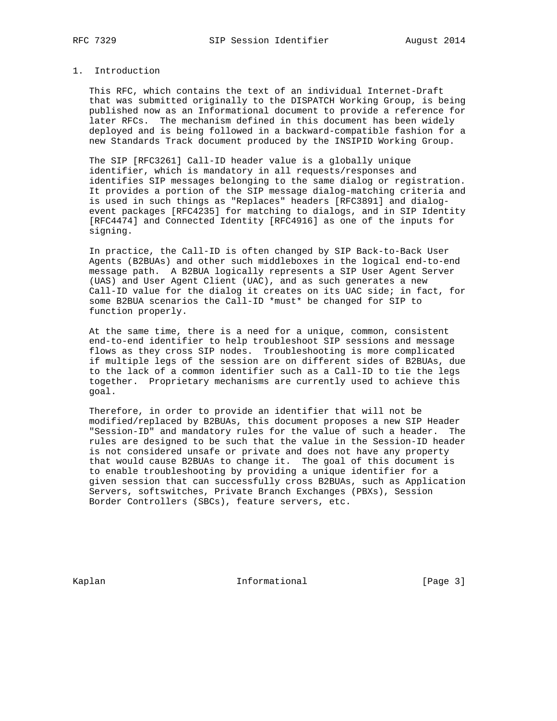# 1. Introduction

 This RFC, which contains the text of an individual Internet-Draft that was submitted originally to the DISPATCH Working Group, is being published now as an Informational document to provide a reference for later RFCs. The mechanism defined in this document has been widely deployed and is being followed in a backward-compatible fashion for a new Standards Track document produced by the INSIPID Working Group.

 The SIP [RFC3261] Call-ID header value is a globally unique identifier, which is mandatory in all requests/responses and identifies SIP messages belonging to the same dialog or registration. It provides a portion of the SIP message dialog-matching criteria and is used in such things as "Replaces" headers [RFC3891] and dialog event packages [RFC4235] for matching to dialogs, and in SIP Identity [RFC4474] and Connected Identity [RFC4916] as one of the inputs for signing.

 In practice, the Call-ID is often changed by SIP Back-to-Back User Agents (B2BUAs) and other such middleboxes in the logical end-to-end message path. A B2BUA logically represents a SIP User Agent Server (UAS) and User Agent Client (UAC), and as such generates a new Call-ID value for the dialog it creates on its UAC side; in fact, for some B2BUA scenarios the Call-ID \*must\* be changed for SIP to function properly.

 At the same time, there is a need for a unique, common, consistent end-to-end identifier to help troubleshoot SIP sessions and message flows as they cross SIP nodes. Troubleshooting is more complicated if multiple legs of the session are on different sides of B2BUAs, due to the lack of a common identifier such as a Call-ID to tie the legs together. Proprietary mechanisms are currently used to achieve this goal.

 Therefore, in order to provide an identifier that will not be modified/replaced by B2BUAs, this document proposes a new SIP Header "Session-ID" and mandatory rules for the value of such a header. The rules are designed to be such that the value in the Session-ID header is not considered unsafe or private and does not have any property that would cause B2BUAs to change it. The goal of this document is to enable troubleshooting by providing a unique identifier for a given session that can successfully cross B2BUAs, such as Application Servers, softswitches, Private Branch Exchanges (PBXs), Session Border Controllers (SBCs), feature servers, etc.

Kaplan **Informational** Informational [Page 3]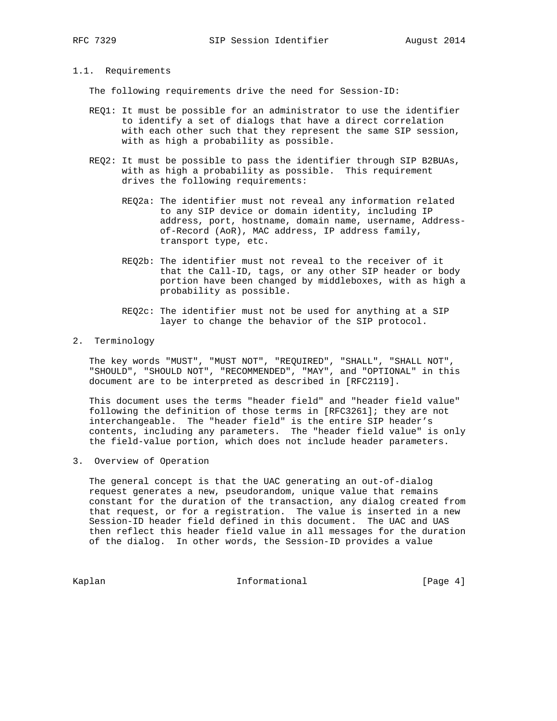# 1.1. Requirements

The following requirements drive the need for Session-ID:

- REQ1: It must be possible for an administrator to use the identifier to identify a set of dialogs that have a direct correlation with each other such that they represent the same SIP session, with as high a probability as possible.
- REQ2: It must be possible to pass the identifier through SIP B2BUAs, with as high a probability as possible. This requirement drives the following requirements:
	- REQ2a: The identifier must not reveal any information related to any SIP device or domain identity, including IP address, port, hostname, domain name, username, Address of-Record (AoR), MAC address, IP address family, transport type, etc.
	- REQ2b: The identifier must not reveal to the receiver of it that the Call-ID, tags, or any other SIP header or body portion have been changed by middleboxes, with as high a probability as possible.
	- REQ2c: The identifier must not be used for anything at a SIP layer to change the behavior of the SIP protocol.

## 2. Terminology

 The key words "MUST", "MUST NOT", "REQUIRED", "SHALL", "SHALL NOT", "SHOULD", "SHOULD NOT", "RECOMMENDED", "MAY", and "OPTIONAL" in this document are to be interpreted as described in [RFC2119].

 This document uses the terms "header field" and "header field value" following the definition of those terms in [RFC3261]; they are not interchangeable. The "header field" is the entire SIP header's contents, including any parameters. The "header field value" is only the field-value portion, which does not include header parameters.

3. Overview of Operation

 The general concept is that the UAC generating an out-of-dialog request generates a new, pseudorandom, unique value that remains constant for the duration of the transaction, any dialog created from that request, or for a registration. The value is inserted in a new Session-ID header field defined in this document. The UAC and UAS then reflect this header field value in all messages for the duration of the dialog. In other words, the Session-ID provides a value

Kaplan **Informational** Informational [Page 4]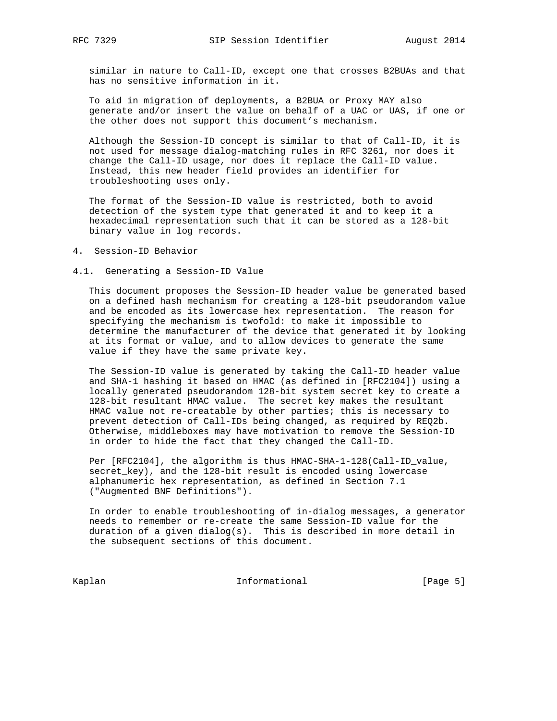similar in nature to Call-ID, except one that crosses B2BUAs and that has no sensitive information in it.

 To aid in migration of deployments, a B2BUA or Proxy MAY also generate and/or insert the value on behalf of a UAC or UAS, if one or the other does not support this document's mechanism.

 Although the Session-ID concept is similar to that of Call-ID, it is not used for message dialog-matching rules in RFC 3261, nor does it change the Call-ID usage, nor does it replace the Call-ID value. Instead, this new header field provides an identifier for troubleshooting uses only.

 The format of the Session-ID value is restricted, both to avoid detection of the system type that generated it and to keep it a hexadecimal representation such that it can be stored as a 128-bit binary value in log records.

4. Session-ID Behavior

#### 4.1. Generating a Session-ID Value

 This document proposes the Session-ID header value be generated based on a defined hash mechanism for creating a 128-bit pseudorandom value and be encoded as its lowercase hex representation. The reason for specifying the mechanism is twofold: to make it impossible to determine the manufacturer of the device that generated it by looking at its format or value, and to allow devices to generate the same value if they have the same private key.

 The Session-ID value is generated by taking the Call-ID header value and SHA-1 hashing it based on HMAC (as defined in [RFC2104]) using a locally generated pseudorandom 128-bit system secret key to create a 128-bit resultant HMAC value. The secret key makes the resultant HMAC value not re-creatable by other parties; this is necessary to prevent detection of Call-IDs being changed, as required by REQ2b. Otherwise, middleboxes may have motivation to remove the Session-ID in order to hide the fact that they changed the Call-ID.

Per [RFC2104], the algorithm is thus HMAC-SHA-1-128(Call-ID value, secret\_key), and the 128-bit result is encoded using lowercase alphanumeric hex representation, as defined in Section 7.1 ("Augmented BNF Definitions").

 In order to enable troubleshooting of in-dialog messages, a generator needs to remember or re-create the same Session-ID value for the duration of a given dialog(s). This is described in more detail in the subsequent sections of this document.

Kaplan Informational [Page 5]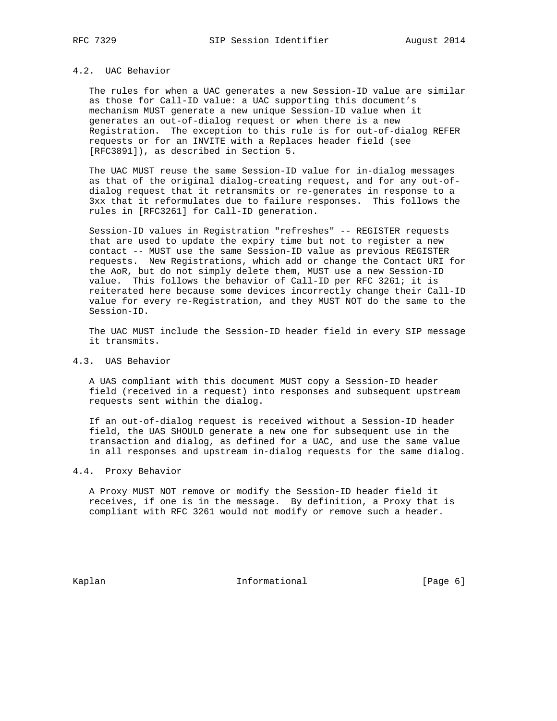# 4.2. UAC Behavior

 The rules for when a UAC generates a new Session-ID value are similar as those for Call-ID value: a UAC supporting this document's mechanism MUST generate a new unique Session-ID value when it generates an out-of-dialog request or when there is a new Registration. The exception to this rule is for out-of-dialog REFER requests or for an INVITE with a Replaces header field (see [RFC3891]), as described in Section 5.

 The UAC MUST reuse the same Session-ID value for in-dialog messages as that of the original dialog-creating request, and for any out-of dialog request that it retransmits or re-generates in response to a 3xx that it reformulates due to failure responses. This follows the rules in [RFC3261] for Call-ID generation.

 Session-ID values in Registration "refreshes" -- REGISTER requests that are used to update the expiry time but not to register a new contact -- MUST use the same Session-ID value as previous REGISTER requests. New Registrations, which add or change the Contact URI for the AoR, but do not simply delete them, MUST use a new Session-ID value. This follows the behavior of Call-ID per RFC 3261; it is reiterated here because some devices incorrectly change their Call-ID value for every re-Registration, and they MUST NOT do the same to the Session-ID.

 The UAC MUST include the Session-ID header field in every SIP message it transmits.

# 4.3. UAS Behavior

 A UAS compliant with this document MUST copy a Session-ID header field (received in a request) into responses and subsequent upstream requests sent within the dialog.

 If an out-of-dialog request is received without a Session-ID header field, the UAS SHOULD generate a new one for subsequent use in the transaction and dialog, as defined for a UAC, and use the same value in all responses and upstream in-dialog requests for the same dialog.

## 4.4. Proxy Behavior

 A Proxy MUST NOT remove or modify the Session-ID header field it receives, if one is in the message. By definition, a Proxy that is compliant with RFC 3261 would not modify or remove such a header.

Kaplan **Informational** Informational [Page 6]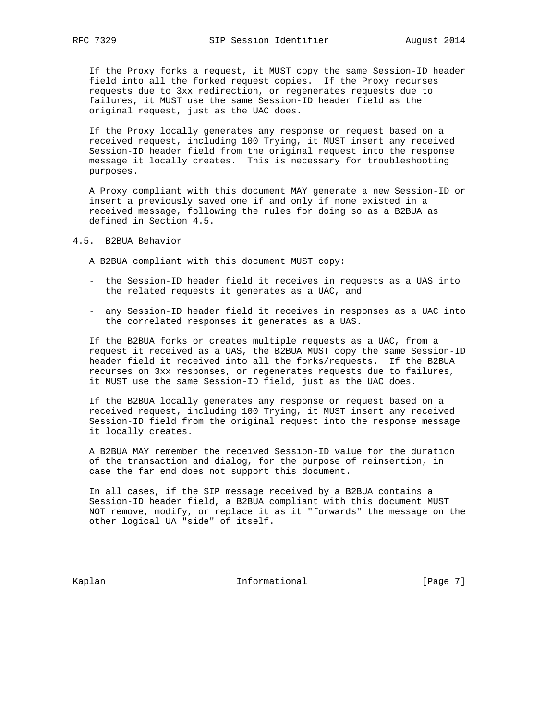If the Proxy forks a request, it MUST copy the same Session-ID header field into all the forked request copies. If the Proxy recurses requests due to 3xx redirection, or regenerates requests due to failures, it MUST use the same Session-ID header field as the original request, just as the UAC does.

 If the Proxy locally generates any response or request based on a received request, including 100 Trying, it MUST insert any received Session-ID header field from the original request into the response message it locally creates. This is necessary for troubleshooting purposes.

 A Proxy compliant with this document MAY generate a new Session-ID or insert a previously saved one if and only if none existed in a received message, following the rules for doing so as a B2BUA as defined in Section 4.5.

## 4.5. B2BUA Behavior

A B2BUA compliant with this document MUST copy:

- the Session-ID header field it receives in requests as a UAS into the related requests it generates as a UAC, and
- any Session-ID header field it receives in responses as a UAC into the correlated responses it generates as a UAS.

 If the B2BUA forks or creates multiple requests as a UAC, from a request it received as a UAS, the B2BUA MUST copy the same Session-ID header field it received into all the forks/requests. If the B2BUA recurses on 3xx responses, or regenerates requests due to failures, it MUST use the same Session-ID field, just as the UAC does.

 If the B2BUA locally generates any response or request based on a received request, including 100 Trying, it MUST insert any received Session-ID field from the original request into the response message it locally creates.

 A B2BUA MAY remember the received Session-ID value for the duration of the transaction and dialog, for the purpose of reinsertion, in case the far end does not support this document.

 In all cases, if the SIP message received by a B2BUA contains a Session-ID header field, a B2BUA compliant with this document MUST NOT remove, modify, or replace it as it "forwards" the message on the other logical UA "side" of itself.

Kaplan **Informational** Informational [Page 7]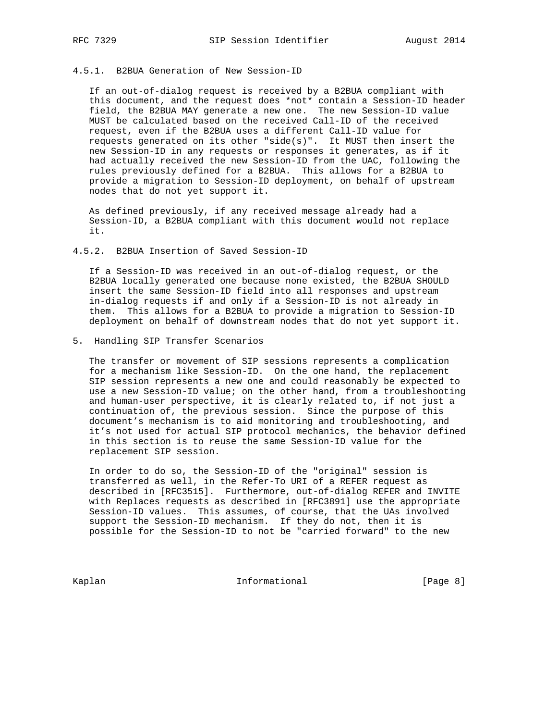# 4.5.1. B2BUA Generation of New Session-ID

 If an out-of-dialog request is received by a B2BUA compliant with this document, and the request does \*not\* contain a Session-ID header field, the B2BUA MAY generate a new one. The new Session-ID value MUST be calculated based on the received Call-ID of the received request, even if the B2BUA uses a different Call-ID value for requests generated on its other "side(s)". It MUST then insert the new Session-ID in any requests or responses it generates, as if it had actually received the new Session-ID from the UAC, following the rules previously defined for a B2BUA. This allows for a B2BUA to provide a migration to Session-ID deployment, on behalf of upstream nodes that do not yet support it.

 As defined previously, if any received message already had a Session-ID, a B2BUA compliant with this document would not replace it.

4.5.2. B2BUA Insertion of Saved Session-ID

 If a Session-ID was received in an out-of-dialog request, or the B2BUA locally generated one because none existed, the B2BUA SHOULD insert the same Session-ID field into all responses and upstream in-dialog requests if and only if a Session-ID is not already in them. This allows for a B2BUA to provide a migration to Session-ID deployment on behalf of downstream nodes that do not yet support it.

5. Handling SIP Transfer Scenarios

 The transfer or movement of SIP sessions represents a complication for a mechanism like Session-ID. On the one hand, the replacement SIP session represents a new one and could reasonably be expected to use a new Session-ID value; on the other hand, from a troubleshooting and human-user perspective, it is clearly related to, if not just a continuation of, the previous session. Since the purpose of this document's mechanism is to aid monitoring and troubleshooting, and it's not used for actual SIP protocol mechanics, the behavior defined in this section is to reuse the same Session-ID value for the replacement SIP session.

 In order to do so, the Session-ID of the "original" session is transferred as well, in the Refer-To URI of a REFER request as described in [RFC3515]. Furthermore, out-of-dialog REFER and INVITE with Replaces requests as described in [RFC3891] use the appropriate Session-ID values. This assumes, of course, that the UAs involved support the Session-ID mechanism. If they do not, then it is possible for the Session-ID to not be "carried forward" to the new

Kaplan **Informational** Informational [Page 8]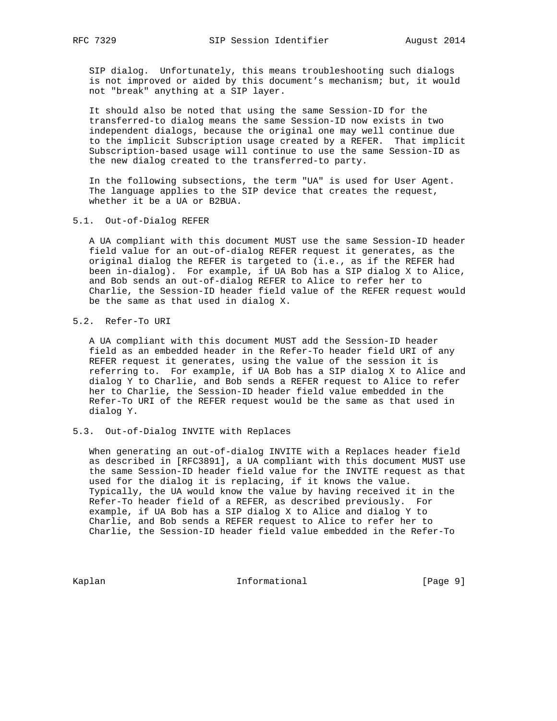SIP dialog. Unfortunately, this means troubleshooting such dialogs is not improved or aided by this document's mechanism; but, it would not "break" anything at a SIP layer.

 It should also be noted that using the same Session-ID for the transferred-to dialog means the same Session-ID now exists in two independent dialogs, because the original one may well continue due to the implicit Subscription usage created by a REFER. That implicit Subscription-based usage will continue to use the same Session-ID as the new dialog created to the transferred-to party.

 In the following subsections, the term "UA" is used for User Agent. The language applies to the SIP device that creates the request, whether it be a UA or B2BUA.

## 5.1. Out-of-Dialog REFER

 A UA compliant with this document MUST use the same Session-ID header field value for an out-of-dialog REFER request it generates, as the original dialog the REFER is targeted to (i.e., as if the REFER had been in-dialog). For example, if UA Bob has a SIP dialog X to Alice, and Bob sends an out-of-dialog REFER to Alice to refer her to Charlie, the Session-ID header field value of the REFER request would be the same as that used in dialog X.

# 5.2. Refer-To URI

 A UA compliant with this document MUST add the Session-ID header field as an embedded header in the Refer-To header field URI of any REFER request it generates, using the value of the session it is referring to. For example, if UA Bob has a SIP dialog X to Alice and dialog Y to Charlie, and Bob sends a REFER request to Alice to refer her to Charlie, the Session-ID header field value embedded in the Refer-To URI of the REFER request would be the same as that used in dialog Y.

## 5.3. Out-of-Dialog INVITE with Replaces

 When generating an out-of-dialog INVITE with a Replaces header field as described in [RFC3891], a UA compliant with this document MUST use the same Session-ID header field value for the INVITE request as that used for the dialog it is replacing, if it knows the value. Typically, the UA would know the value by having received it in the Refer-To header field of a REFER, as described previously. For example, if UA Bob has a SIP dialog X to Alice and dialog Y to Charlie, and Bob sends a REFER request to Alice to refer her to Charlie, the Session-ID header field value embedded in the Refer-To

Kaplan Informational [Page 9]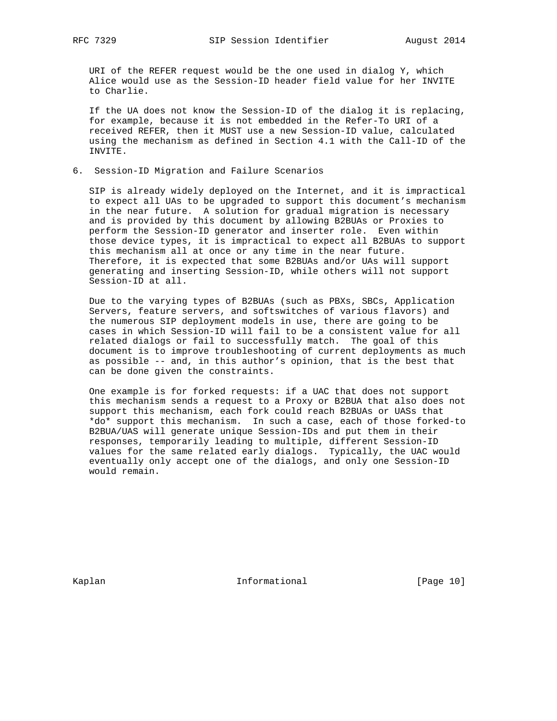URI of the REFER request would be the one used in dialog Y, which Alice would use as the Session-ID header field value for her INVITE to Charlie.

 If the UA does not know the Session-ID of the dialog it is replacing, for example, because it is not embedded in the Refer-To URI of a received REFER, then it MUST use a new Session-ID value, calculated using the mechanism as defined in Section 4.1 with the Call-ID of the INVITE.

6. Session-ID Migration and Failure Scenarios

 SIP is already widely deployed on the Internet, and it is impractical to expect all UAs to be upgraded to support this document's mechanism in the near future. A solution for gradual migration is necessary and is provided by this document by allowing B2BUAs or Proxies to perform the Session-ID generator and inserter role. Even within those device types, it is impractical to expect all B2BUAs to support this mechanism all at once or any time in the near future. Therefore, it is expected that some B2BUAs and/or UAs will support generating and inserting Session-ID, while others will not support Session-ID at all.

 Due to the varying types of B2BUAs (such as PBXs, SBCs, Application Servers, feature servers, and softswitches of various flavors) and the numerous SIP deployment models in use, there are going to be cases in which Session-ID will fail to be a consistent value for all related dialogs or fail to successfully match. The goal of this document is to improve troubleshooting of current deployments as much as possible -- and, in this author's opinion, that is the best that can be done given the constraints.

 One example is for forked requests: if a UAC that does not support this mechanism sends a request to a Proxy or B2BUA that also does not support this mechanism, each fork could reach B2BUAs or UASs that \*do\* support this mechanism. In such a case, each of those forked-to B2BUA/UAS will generate unique Session-IDs and put them in their responses, temporarily leading to multiple, different Session-ID values for the same related early dialogs. Typically, the UAC would eventually only accept one of the dialogs, and only one Session-ID would remain.

Kaplan **Informational** Informational [Page 10]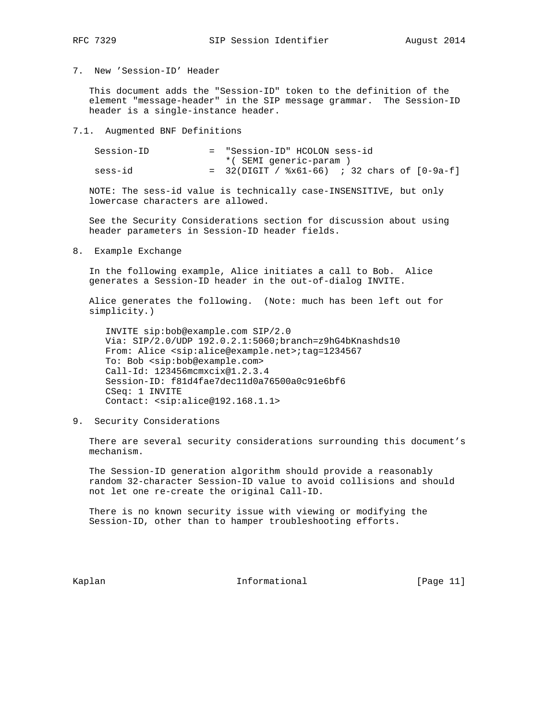# 7. New 'Session-ID' Header

 This document adds the "Session-ID" token to the definition of the element "message-header" in the SIP message grammar. The Session-ID header is a single-instance header.

## 7.1. Augmented BNF Definitions

| Session-ID | = "Session-ID" HCOLON sess-id                      |
|------------|----------------------------------------------------|
|            | *( SEMI generic-param )                            |
| sess-id    | $=$ 32(DIGIT / $x61-66$ ) ; 32 chars of $[0-9a-f]$ |

 NOTE: The sess-id value is technically case-INSENSITIVE, but only lowercase characters are allowed.

 See the Security Considerations section for discussion about using header parameters in Session-ID header fields.

8. Example Exchange

 In the following example, Alice initiates a call to Bob. Alice generates a Session-ID header in the out-of-dialog INVITE.

 Alice generates the following. (Note: much has been left out for simplicity.)

 INVITE sip:bob@example.com SIP/2.0 Via: SIP/2.0/UDP 192.0.2.1:5060;branch=z9hG4bKnashds10 From: Alice <sip:alice@example.net>;tag=1234567 To: Bob <sip:bob@example.com> Call-Id: 123456mcmxcix@1.2.3.4 Session-ID: f81d4fae7dec11d0a76500a0c91e6bf6 CSeq: 1 INVITE Contact: <sip:alice@192.168.1.1>

9. Security Considerations

 There are several security considerations surrounding this document's mechanism.

 The Session-ID generation algorithm should provide a reasonably random 32-character Session-ID value to avoid collisions and should not let one re-create the original Call-ID.

 There is no known security issue with viewing or modifying the Session-ID, other than to hamper troubleshooting efforts.

Kaplan **Informational Informational** [Page 11]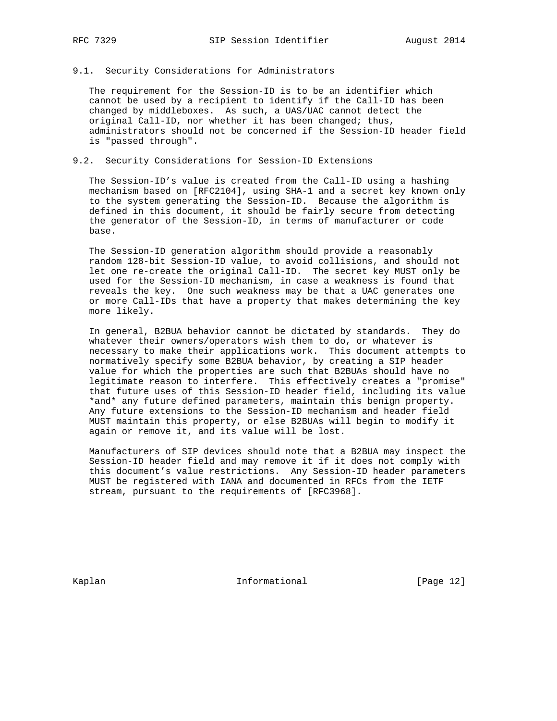## 9.1. Security Considerations for Administrators

 The requirement for the Session-ID is to be an identifier which cannot be used by a recipient to identify if the Call-ID has been changed by middleboxes. As such, a UAS/UAC cannot detect the original Call-ID, nor whether it has been changed; thus, administrators should not be concerned if the Session-ID header field is "passed through".

# 9.2. Security Considerations for Session-ID Extensions

 The Session-ID's value is created from the Call-ID using a hashing mechanism based on [RFC2104], using SHA-1 and a secret key known only to the system generating the Session-ID. Because the algorithm is defined in this document, it should be fairly secure from detecting the generator of the Session-ID, in terms of manufacturer or code base.

 The Session-ID generation algorithm should provide a reasonably random 128-bit Session-ID value, to avoid collisions, and should not let one re-create the original Call-ID. The secret key MUST only be used for the Session-ID mechanism, in case a weakness is found that reveals the key. One such weakness may be that a UAC generates one or more Call-IDs that have a property that makes determining the key more likely.

 In general, B2BUA behavior cannot be dictated by standards. They do whatever their owners/operators wish them to do, or whatever is necessary to make their applications work. This document attempts to normatively specify some B2BUA behavior, by creating a SIP header value for which the properties are such that B2BUAs should have no legitimate reason to interfere. This effectively creates a "promise" that future uses of this Session-ID header field, including its value \*and\* any future defined parameters, maintain this benign property. Any future extensions to the Session-ID mechanism and header field MUST maintain this property, or else B2BUAs will begin to modify it again or remove it, and its value will be lost.

 Manufacturers of SIP devices should note that a B2BUA may inspect the Session-ID header field and may remove it if it does not comply with this document's value restrictions. Any Session-ID header parameters MUST be registered with IANA and documented in RFCs from the IETF stream, pursuant to the requirements of [RFC3968].

Kaplan **Informational** Informational [Page 12]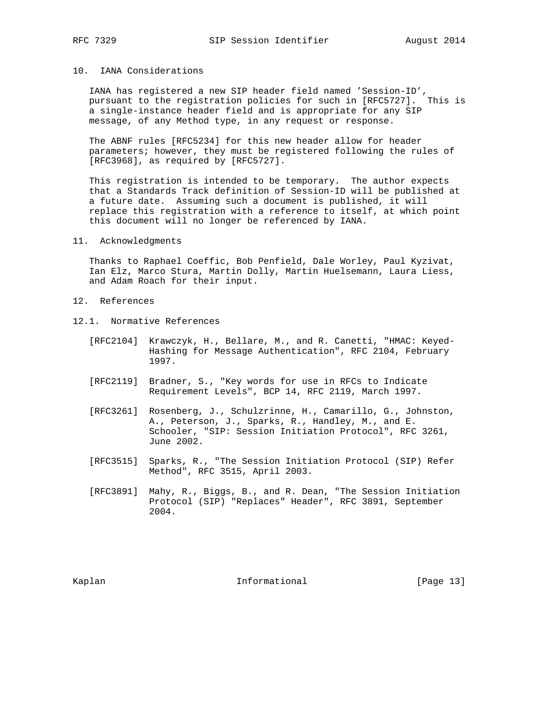# 10. IANA Considerations

 IANA has registered a new SIP header field named 'Session-ID', pursuant to the registration policies for such in [RFC5727]. This is a single-instance header field and is appropriate for any SIP message, of any Method type, in any request or response.

 The ABNF rules [RFC5234] for this new header allow for header parameters; however, they must be registered following the rules of [RFC3968], as required by [RFC5727].

 This registration is intended to be temporary. The author expects that a Standards Track definition of Session-ID will be published at a future date. Assuming such a document is published, it will replace this registration with a reference to itself, at which point this document will no longer be referenced by IANA.

## 11. Acknowledgments

 Thanks to Raphael Coeffic, Bob Penfield, Dale Worley, Paul Kyzivat, Ian Elz, Marco Stura, Martin Dolly, Martin Huelsemann, Laura Liess, and Adam Roach for their input.

- 12. References
- 12.1. Normative References
	- [RFC2104] Krawczyk, H., Bellare, M., and R. Canetti, "HMAC: Keyed- Hashing for Message Authentication", RFC 2104, February 1997.
	- [RFC2119] Bradner, S., "Key words for use in RFCs to Indicate Requirement Levels", BCP 14, RFC 2119, March 1997.
	- [RFC3261] Rosenberg, J., Schulzrinne, H., Camarillo, G., Johnston, A., Peterson, J., Sparks, R., Handley, M., and E. Schooler, "SIP: Session Initiation Protocol", RFC 3261, June 2002.
	- [RFC3515] Sparks, R., "The Session Initiation Protocol (SIP) Refer Method", RFC 3515, April 2003.
	- [RFC3891] Mahy, R., Biggs, B., and R. Dean, "The Session Initiation Protocol (SIP) "Replaces" Header", RFC 3891, September 2004.

Kaplan **Informational Informational** [Page 13]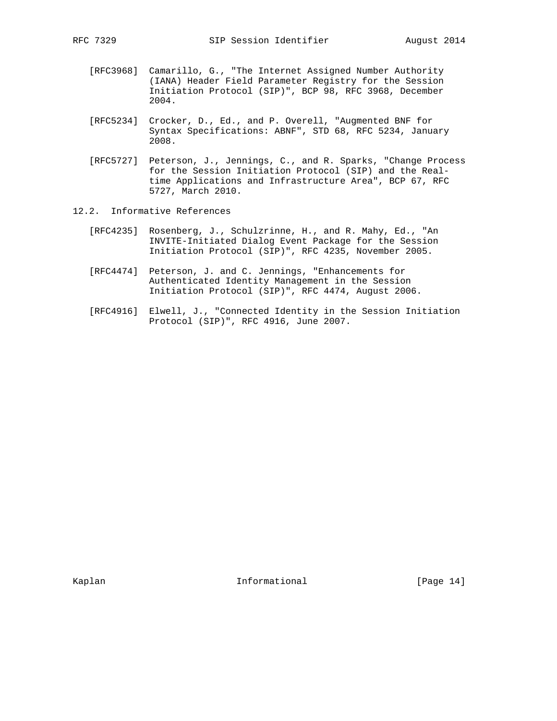- [RFC3968] Camarillo, G., "The Internet Assigned Number Authority (IANA) Header Field Parameter Registry for the Session Initiation Protocol (SIP)", BCP 98, RFC 3968, December 2004.
- [RFC5234] Crocker, D., Ed., and P. Overell, "Augmented BNF for Syntax Specifications: ABNF", STD 68, RFC 5234, January 2008.
- [RFC5727] Peterson, J., Jennings, C., and R. Sparks, "Change Process for the Session Initiation Protocol (SIP) and the Real time Applications and Infrastructure Area", BCP 67, RFC 5727, March 2010.
- 12.2. Informative References
	- [RFC4235] Rosenberg, J., Schulzrinne, H., and R. Mahy, Ed., "An INVITE-Initiated Dialog Event Package for the Session Initiation Protocol (SIP)", RFC 4235, November 2005.
	- [RFC4474] Peterson, J. and C. Jennings, "Enhancements for Authenticated Identity Management in the Session Initiation Protocol (SIP)", RFC 4474, August 2006.
	- [RFC4916] Elwell, J., "Connected Identity in the Session Initiation Protocol (SIP)", RFC 4916, June 2007.

Kaplan **Informational** Informational [Page 14]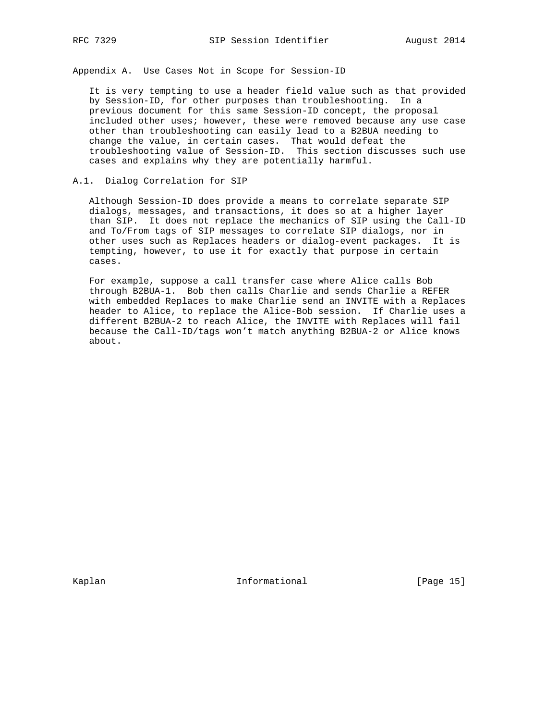Appendix A. Use Cases Not in Scope for Session-ID

 It is very tempting to use a header field value such as that provided by Session-ID, for other purposes than troubleshooting. In a previous document for this same Session-ID concept, the proposal included other uses; however, these were removed because any use case other than troubleshooting can easily lead to a B2BUA needing to change the value, in certain cases. That would defeat the troubleshooting value of Session-ID. This section discusses such use cases and explains why they are potentially harmful.

## A.1. Dialog Correlation for SIP

 Although Session-ID does provide a means to correlate separate SIP dialogs, messages, and transactions, it does so at a higher layer than SIP. It does not replace the mechanics of SIP using the Call-ID and To/From tags of SIP messages to correlate SIP dialogs, nor in other uses such as Replaces headers or dialog-event packages. It is tempting, however, to use it for exactly that purpose in certain cases.

 For example, suppose a call transfer case where Alice calls Bob through B2BUA-1. Bob then calls Charlie and sends Charlie a REFER with embedded Replaces to make Charlie send an INVITE with a Replaces header to Alice, to replace the Alice-Bob session. If Charlie uses a different B2BUA-2 to reach Alice, the INVITE with Replaces will fail because the Call-ID/tags won't match anything B2BUA-2 or Alice knows about.

Kaplan **Informational** Informational [Page 15]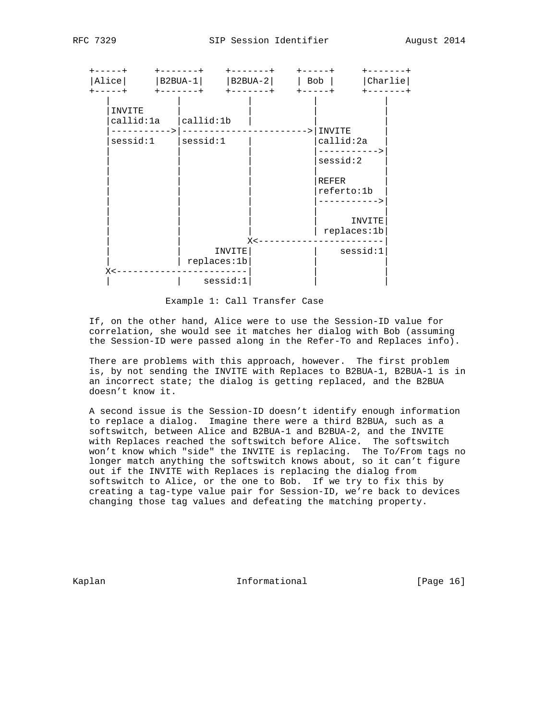| Alice<br>$+ - - - - - - +$<br>$- - - - +$ | $+ - - - - - - +$<br>$ B2BUA-1 $ | $ B2BUA-2 $<br>$+ - - - - - - +$ | $charlie$<br>Bob<br>$+ - - - - +$                                           |  |
|-------------------------------------------|----------------------------------|----------------------------------|-----------------------------------------------------------------------------|--|
| INVITE<br>callid:1a<br>sessid:1           | callid:1b <br>$s$ essid: $1$     |                                  | INVITE<br>callid:2a<br>----------><br>$s$ essid: $2$<br>REFER<br>referto:1b |  |
|                                           |                                  | $X < -$                          | INVITE<br>replaces:1b                                                       |  |
| $X < -$                                   | INVITE<br>replaces:1b            |                                  | $s$ essid: $1$                                                              |  |
|                                           | $s$ essid: $1$                   |                                  |                                                                             |  |

Example 1: Call Transfer Case

 If, on the other hand, Alice were to use the Session-ID value for correlation, she would see it matches her dialog with Bob (assuming the Session-ID were passed along in the Refer-To and Replaces info).

 There are problems with this approach, however. The first problem is, by not sending the INVITE with Replaces to B2BUA-1, B2BUA-1 is in an incorrect state; the dialog is getting replaced, and the B2BUA doesn't know it.

 A second issue is the Session-ID doesn't identify enough information to replace a dialog. Imagine there were a third B2BUA, such as a softswitch, between Alice and B2BUA-1 and B2BUA-2, and the INVITE with Replaces reached the softswitch before Alice. The softswitch won't know which "side" the INVITE is replacing. The To/From tags no longer match anything the softswitch knows about, so it can't figure out if the INVITE with Replaces is replacing the dialog from softswitch to Alice, or the one to Bob. If we try to fix this by creating a tag-type value pair for Session-ID, we're back to devices changing those tag values and defeating the matching property.

Kaplan **Informational** [Page 16]